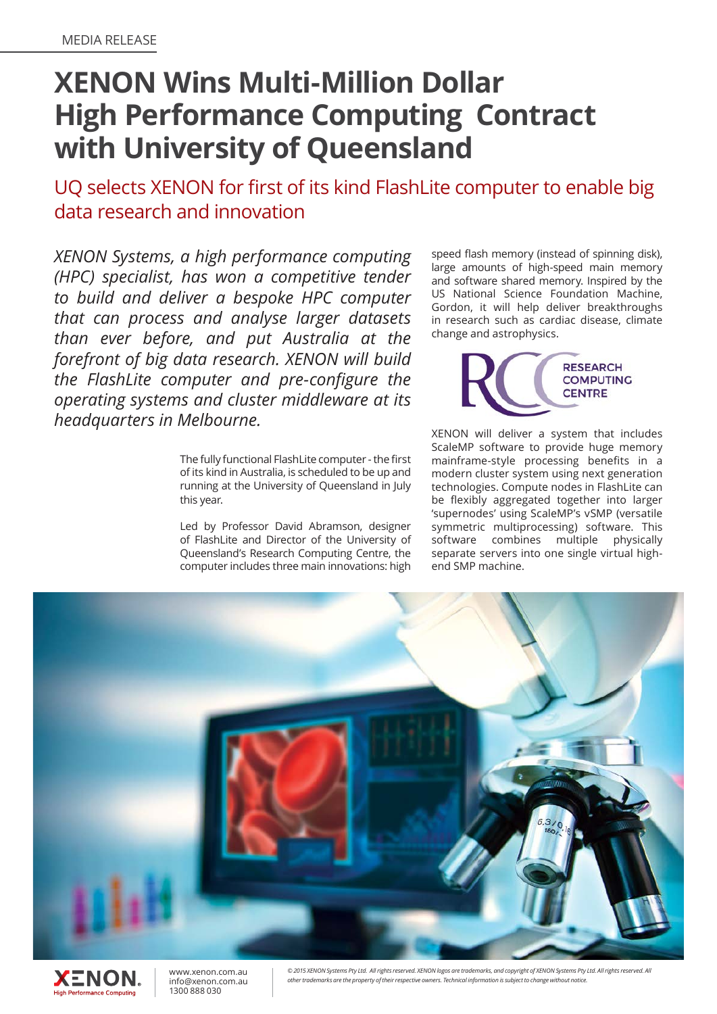## **XENON Wins Multi-Million Dollar High Performance Computing Contract with University of Queensland**

UQ selects XENON for first of its kind FlashLite computer to enable big data research and innovation

*XENON Systems, a high performance computing (HPC) specialist, has won a competitive tender to build and deliver a bespoke HPC computer that can process and analyse larger datasets than ever before, and put Australia at the forefront of big data research. XENON will build the FlashLite computer and pre-configure the operating systems and cluster middleware at its headquarters in Melbourne.* 

> The fully functional FlashLite computer - the first of its kind in Australia, is scheduled to be up and running at the University of Queensland in July this year.

> Led by Professor David Abramson, designer of FlashLite and Director of the University of Queensland's Research Computing Centre, the computer includes three main innovations: high

speed flash memory (instead of spinning disk), large amounts of high-speed main memory and software shared memory. Inspired by the US National Science Foundation Machine, Gordon, it will help deliver breakthroughs in research such as cardiac disease, climate change and astrophysics.



XENON will deliver a system that includes ScaleMP software to provide huge memory mainframe-style processing benefits in a modern cluster system using next generation technologies. Compute nodes in FlashLite can be flexibly aggregated together into larger 'supernodes' using ScaleMP's vSMP (versatile symmetric multiprocessing) software. This software combines multiple physically separate servers into one single virtual highend SMP machine.



www.xenon.com.au XENON info@xenon.com.au 1300 888 030**High Performance Computing** 

© 2015 XENON Systems Pty Ltd. All rights reserved. XENON logos are trademarks, and copyright of XENON Systems Pty Ltd. All rights reserved. All *other trademarks are the property of their respective owners. Technical information is subject to change without notice.*